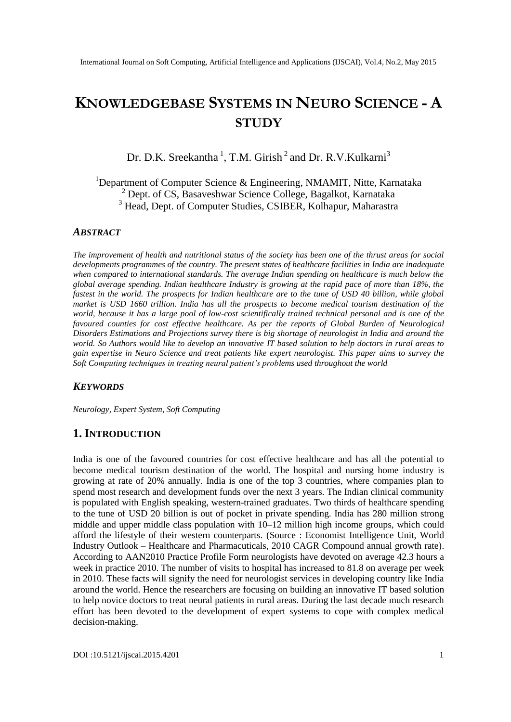# **KNOWLEDGEBASE SYSTEMS IN NEURO SCIENCE - A STUDY**

Dr. D.K. Sreekantha<sup>1</sup>, T.M. Girish<sup>2</sup> and Dr. R.V.Kulkarni<sup>3</sup>

<sup>1</sup>Department of Computer Science & Engineering, NMAMIT, Nitte, Karnataka <sup>2</sup> Dept. of CS, Basaveshwar Science College, Bagalkot, Karnataka <sup>3</sup> Head, Dept. of Computer Studies, CSIBER, Kolhapur, Maharastra

#### *ABSTRACT*

*The improvement of health and nutritional status of the society has been one of the thrust areas for social developments programmes of the country. The present states of healthcare facilities in India are inadequate when compared to international standards. The average Indian spending on healthcare is much below the global average spending. Indian healthcare Industry is growing at the rapid pace of more than 18%, the fastest in the world. The prospects for Indian healthcare are to the tune of USD 40 billion, while global market is USD 1660 trillion. India has all the prospects to become medical tourism destination of the world, because it has a large pool of low-cost scientifically trained technical personal and is one of the favoured counties for cost effective healthcare. As per the reports of Global Burden of Neurological Disorders Estimations and Projections survey there is big shortage of neurologist in India and around the world. So Authors would like to develop an innovative IT based solution to help doctors in rural areas to gain expertise in Neuro Science and treat patients like expert neurologist. This paper aims to survey the Soft Computing techniques in treating neural patient's problems used throughout the world*

## *KEYWORDS*

*Neurology, Expert System, Soft Computing*

## **1.INTRODUCTION**

India is one of the favoured countries for cost effective healthcare and has all the potential to become medical tourism destination of the world. The hospital and nursing home industry is growing at rate of 20% annually. India is one of the top 3 countries, where companies plan to spend most research and development funds over the next 3 years. The Indian clinical community is populated with English speaking, western-trained graduates. Two thirds of healthcare spending to the tune of USD 20 billion is out of pocket in private spending. India has 280 million strong middle and upper middle class population with 10–12 million high income groups, which could afford the lifestyle of their western counterparts. (Source : Economist Intelligence Unit, World Industry Outlook – Healthcare and Pharmacuticals, 2010 CAGR Compound annual growth rate). According to AAN2010 Practice Profile Form neurologists have devoted on average 42.3 hours a week in practice 2010. The number of visits to hospital has increased to 81.8 on average per week in 2010. These facts will signify the need for neurologist services in developing country like India around the world. Hence the researchers are focusing on building an innovative IT based solution to help novice doctors to treat neural patients in rural areas. During the last decade much research effort has been devoted to the development of expert systems to cope with complex medical decision-making.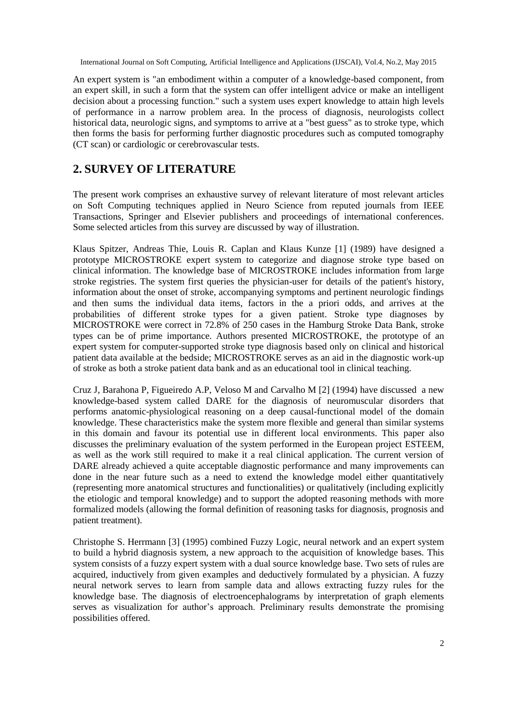An expert system is "an embodiment within a computer of a knowledge-based component, from an expert skill, in such a form that the system can offer intelligent advice or make an intelligent decision about a processing function." such a system uses expert knowledge to attain high levels of performance in a narrow problem area. In the process of diagnosis, neurologists collect historical data, neurologic signs, and symptoms to arrive at a "best guess" as to stroke type, which then forms the basis for performing further diagnostic procedures such as computed tomography (CT scan) or cardiologic or cerebrovascular tests.

# **2. SURVEY OF LITERATURE**

The present work comprises an exhaustive survey of relevant literature of most relevant articles on Soft Computing techniques applied in Neuro Science from reputed journals from IEEE Transactions, Springer and Elsevier publishers and proceedings of international conferences. Some selected articles from this survey are discussed by way of illustration.

Klaus Spitzer, Andreas Thie, Louis R. Caplan and Klaus Kunze [1] (1989) have designed a prototype MICROSTROKE expert system to categorize and diagnose stroke type based on clinical information. The knowledge base of MICROSTROKE includes information from large stroke registries. The system first queries the physician-user for details of the patient's history, information about the onset of stroke, accompanying symptoms and pertinent neurologic findings and then sums the individual data items, factors in the a priori odds, and arrives at the probabilities of different stroke types for a given patient. Stroke type diagnoses by MICROSTROKE were correct in 72.8% of 250 cases in the Hamburg Stroke Data Bank, stroke types can be of prime importance. Authors presented MICROSTROKE, the prototype of an expert system for computer-supported stroke type diagnosis based only on clinical and historical patient data available at the bedside; MICROSTROKE serves as an aid in the diagnostic work-up of stroke as both a stroke patient data bank and as an educational tool in clinical teaching.

Cruz J, Barahona P, Figueiredo A.P, Veloso M and Carvalho M [2] (1994) have discussed a new knowledge-based system called DARE for the diagnosis of neuromuscular disorders that performs anatomic-physiological reasoning on a deep causal-functional model of the domain knowledge. These characteristics make the system more flexible and general than similar systems in this domain and favour its potential use in different local environments. This paper also discusses the preliminary evaluation of the system performed in the European project ESTEEM, as well as the work still required to make it a real clinical application. The current version of DARE already achieved a quite acceptable diagnostic performance and many improvements can done in the near future such as a need to extend the knowledge model either quantitatively (representing more anatomical structures and functionalities) or qualitatively (including explicitly the etiologic and temporal knowledge) and to support the adopted reasoning methods with more formalized models (allowing the formal definition of reasoning tasks for diagnosis, prognosis and patient treatment).

Christophe S. Herrmann [3] (1995) combined Fuzzy Logic, neural network and an expert system to build a hybrid diagnosis system, a new approach to the acquisition of knowledge bases. This system consists of a fuzzy expert system with a dual source knowledge base. Two sets of rules are acquired, inductively from given examples and deductively formulated by a physician. A fuzzy neural network serves to learn from sample data and allows extracting fuzzy rules for the knowledge base. The diagnosis of electroencephalograms by interpretation of graph elements serves as visualization for author's approach. Preliminary results demonstrate the promising possibilities offered.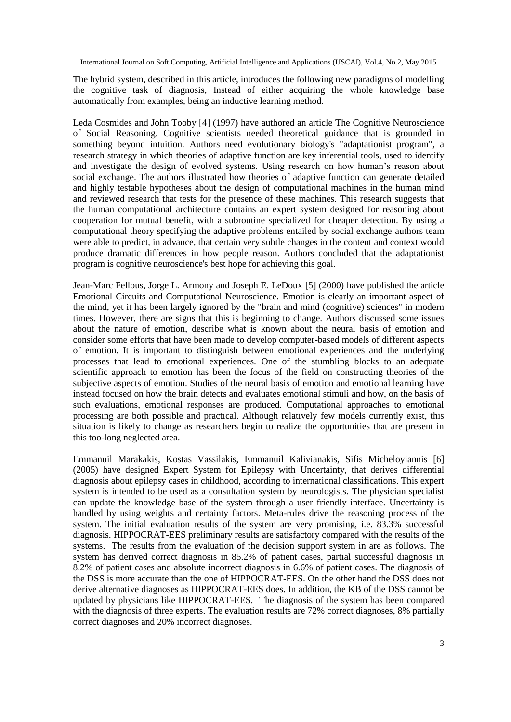The hybrid system, described in this article, introduces the following new paradigms of modelling the cognitive task of diagnosis, Instead of either acquiring the whole knowledge base automatically from examples, being an inductive learning method.

Leda Cosmides and John Tooby [4] (1997) have authored an article The Cognitive Neuroscience of Social Reasoning. Cognitive scientists needed theoretical guidance that is grounded in something beyond intuition. Authors need evolutionary biology's "adaptationist program", a research strategy in which theories of adaptive function are key inferential tools, used to identify and investigate the design of evolved systems. Using research on how human's reason about social exchange. The authors illustrated how theories of adaptive function can generate detailed and highly testable hypotheses about the design of computational machines in the human mind and reviewed research that tests for the presence of these machines. This research suggests that the human computational architecture contains an expert system designed for reasoning about cooperation for mutual benefit, with a subroutine specialized for cheaper detection. By using a computational theory specifying the adaptive problems entailed by social exchange authors team were able to predict, in advance, that certain very subtle changes in the content and context would produce dramatic differences in how people reason. Authors concluded that the adaptationist program is cognitive neuroscience's best hope for achieving this goal.

Jean-Marc Fellous, Jorge L. Armony and Joseph E. LeDoux [5] (2000) have published the article Emotional Circuits and Computational Neuroscience*.* Emotion is clearly an important aspect of the mind, yet it has been largely ignored by the "brain and mind (cognitive) sciences" in modern times. However, there are signs that this is beginning to change. Authors discussed some issues about the nature of emotion, describe what is known about the neural basis of emotion and consider some efforts that have been made to develop computer-based models of different aspects of emotion. It is important to distinguish between emotional experiences and the underlying processes that lead to emotional experiences. One of the stumbling blocks to an adequate scientific approach to emotion has been the focus of the field on constructing theories of the subjective aspects of emotion. Studies of the neural basis of emotion and emotional learning have instead focused on how the brain detects and evaluates emotional stimuli and how, on the basis of such evaluations, emotional responses are produced. Computational approaches to emotional processing are both possible and practical. Although relatively few models currently exist, this situation is likely to change as researchers begin to realize the opportunities that are present in this too-long neglected area.

Emmanuil Marakakis, Kostas Vassilakis, Emmanuil Kalivianakis, Sifis Micheloyiannis [6] (2005) have designed Expert System for Epilepsy with Uncertainty, that derives differential diagnosis about epilepsy cases in childhood, according to international classifications. This expert system is intended to be used as a consultation system by neurologists. The physician specialist can update the knowledge base of the system through a user friendly interface. Uncertainty is handled by using weights and certainty factors. Meta-rules drive the reasoning process of the system. The initial evaluation results of the system are very promising, i.e. 83.3% successful diagnosis. HIPPOCRAT-EES preliminary results are satisfactory compared with the results of the systems. The results from the evaluation of the decision support system in are as follows. The system has derived correct diagnosis in 85.2% of patient cases, partial successful diagnosis in 8.2% of patient cases and absolute incorrect diagnosis in 6.6% of patient cases. The diagnosis of the DSS is more accurate than the one of HIPPOCRAT-EES. On the other hand the DSS does not derive alternative diagnoses as HIPPOCRAT-EES does. In addition, the KB of the DSS cannot be updated by physicians like HIPPOCRAT-EES. The diagnosis of the system has been compared with the diagnosis of three experts. The evaluation results are 72% correct diagnoses, 8% partially correct diagnoses and 20% incorrect diagnoses.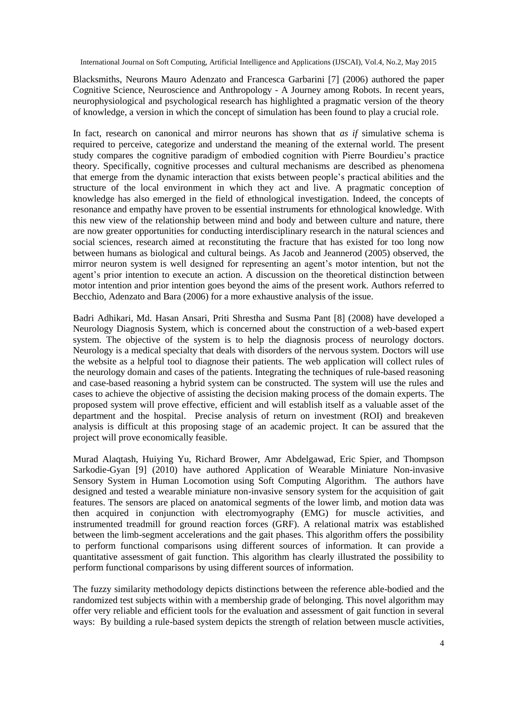Blacksmiths, Neurons Mauro Adenzato and Francesca Garbarini [7] (2006) authored the paper Cognitive Science, Neuroscience and Anthropology - A Journey among Robots. In recent years, neurophysiological and psychological research has highlighted a pragmatic version of the theory of knowledge, a version in which the concept of simulation has been found to play a crucial role.

In fact, research on canonical and mirror neurons has shown that *as if* simulative schema is required to perceive, categorize and understand the meaning of the external world. The present study compares the cognitive paradigm of embodied cognition with Pierre Bourdieu's practice theory. Specifically, cognitive processes and cultural mechanisms are described as phenomena that emerge from the dynamic interaction that exists between people's practical abilities and the structure of the local environment in which they act and live. A pragmatic conception of knowledge has also emerged in the field of ethnological investigation. Indeed, the concepts of resonance and empathy have proven to be essential instruments for ethnological knowledge. With this new view of the relationship between mind and body and between culture and nature, there are now greater opportunities for conducting interdisciplinary research in the natural sciences and social sciences, research aimed at reconstituting the fracture that has existed for too long now between humans as biological and cultural beings. As Jacob and Jeannerod (2005) observed, the mirror neuron system is well designed for representing an agent's motor intention, but not the agent's prior intention to execute an action. A discussion on the theoretical distinction between motor intention and prior intention goes beyond the aims of the present work. Authors referred to Becchio, Adenzato and Bara (2006) for a more exhaustive analysis of the issue.

Badri Adhikari, Md. Hasan Ansari, Priti Shrestha and Susma Pant [8] (2008) have developed a Neurology Diagnosis System, which is concerned about the construction of a web-based expert system. The objective of the system is to help the diagnosis process of neurology doctors. Neurology is a medical specialty that deals with disorders of the nervous system. Doctors will use the website as a helpful tool to diagnose their patients. The web application will collect rules of the neurology domain and cases of the patients. Integrating the techniques of rule-based reasoning and case-based reasoning a hybrid system can be constructed. The system will use the rules and cases to achieve the objective of assisting the decision making process of the domain experts. The proposed system will prove effective, efficient and will establish itself as a valuable asset of the department and the hospital. Precise analysis of return on investment (ROI) and breakeven analysis is difficult at this proposing stage of an academic project. It can be assured that the project will prove economically feasible.

Murad Alaqtash, Huiying Yu, Richard Brower, Amr Abdelgawad, Eric Spier, and Thompson Sarkodie-Gyan [9] (2010) have authored Application of Wearable Miniature Non-invasive Sensory System in Human Locomotion using Soft Computing Algorithm. The authors have designed and tested a wearable miniature non-invasive sensory system for the acquisition of gait features. The sensors are placed on anatomical segments of the lower limb, and motion data was then acquired in conjunction with electromyography (EMG) for muscle activities, and instrumented treadmill for ground reaction forces (GRF). A relational matrix was established between the limb-segment accelerations and the gait phases. This algorithm offers the possibility to perform functional comparisons using different sources of information. It can provide a quantitative assessment of gait function. This algorithm has clearly illustrated the possibility to perform functional comparisons by using different sources of information.

The fuzzy similarity methodology depicts distinctions between the reference able-bodied and the randomized test subjects within with a membership grade of belonging. This novel algorithm may offer very reliable and efficient tools for the evaluation and assessment of gait function in several ways: By building a rule-based system depicts the strength of relation between muscle activities,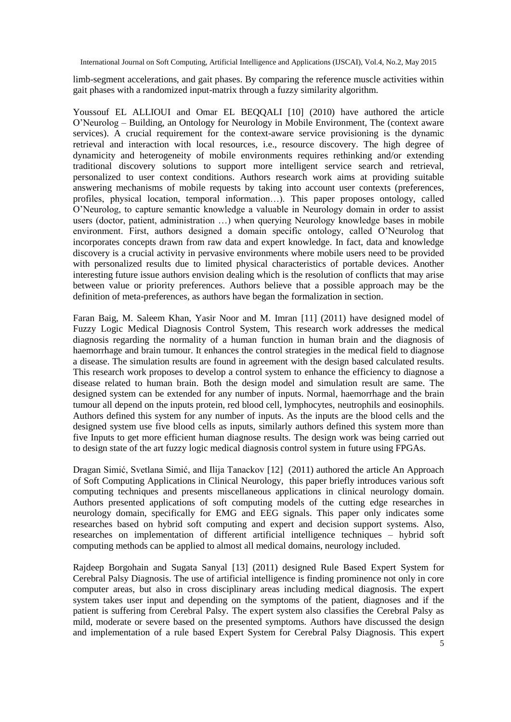limb-segment accelerations, and gait phases. By comparing the reference muscle activities within gait phases with a randomized input-matrix through a fuzzy similarity algorithm.

Youssouf EL ALLIOUI and Omar EL BEOOALI [10] (2010) have authored the article O'Neurolog – Building, an Ontology for Neurology in Mobile Environment, The (context aware services). A crucial requirement for the context-aware service provisioning is the dynamic retrieval and interaction with local resources, i.e., resource discovery. The high degree of dynamicity and heterogeneity of mobile environments requires rethinking and/or extending traditional discovery solutions to support more intelligent service search and retrieval, personalized to user context conditions. Authors research work aims at providing suitable answering mechanisms of mobile requests by taking into account user contexts (preferences, profiles, physical location, temporal information…). This paper proposes ontology, called O'Neurolog, to capture semantic knowledge a valuable in Neurology domain in order to assist users (doctor, patient, administration …) when querying Neurology knowledge bases in mobile environment. First, authors designed a domain specific ontology, called O'Neurolog that incorporates concepts drawn from raw data and expert knowledge. In fact, data and knowledge discovery is a crucial activity in pervasive environments where mobile users need to be provided with personalized results due to limited physical characteristics of portable devices. Another interesting future issue authors envision dealing which is the resolution of conflicts that may arise between value or priority preferences. Authors believe that a possible approach may be the definition of meta-preferences, as authors have began the formalization in section.

Faran Baig, M. Saleem Khan, Yasir Noor and M. Imran [11] (2011) have designed model of Fuzzy Logic Medical Diagnosis Control System, This research work addresses the medical diagnosis regarding the normality of a human function in human brain and the diagnosis of haemorrhage and brain tumour. It enhances the control strategies in the medical field to diagnose a disease. The simulation results are found in agreement with the design based calculated results. This research work proposes to develop a control system to enhance the efficiency to diagnose a disease related to human brain. Both the design model and simulation result are same. The designed system can be extended for any number of inputs. Normal, haemorrhage and the brain tumour all depend on the inputs protein, red blood cell, lymphocytes, neutrophils and eosinophils. Authors defined this system for any number of inputs. As the inputs are the blood cells and the designed system use five blood cells as inputs, similarly authors defined this system more than five Inputs to get more efficient human diagnose results. The design work was being carried out to design state of the art fuzzy logic medical diagnosis control system in future using FPGAs.

Dragan Simić, Svetlana Simić, and Ilija Tanackov [12] (2011) authored the article An Approach of Soft Computing Applications in Clinical Neurology, this paper briefly introduces various soft computing techniques and presents miscellaneous applications in clinical neurology domain. Authors presented applications of soft computing models of the cutting edge researches in neurology domain, specifically for EMG and EEG signals. This paper only indicates some researches based on hybrid soft computing and expert and decision support systems. Also, researches on implementation of different artificial intelligence techniques – hybrid soft computing methods can be applied to almost all medical domains, neurology included.

Rajdeep Borgohain and Sugata Sanyal [13] (2011) designed Rule Based Expert System for Cerebral Palsy Diagnosis. The use of artificial intelligence is finding prominence not only in core computer areas, but also in cross disciplinary areas including medical diagnosis. The expert system takes user input and depending on the symptoms of the patient, diagnoses and if the patient is suffering from Cerebral Palsy*.* The expert system also classifies the Cerebral Palsy as mild, moderate or severe based on the presented symptoms. Authors have discussed the design and implementation of a rule based Expert System for Cerebral Palsy Diagnosis*.* This expert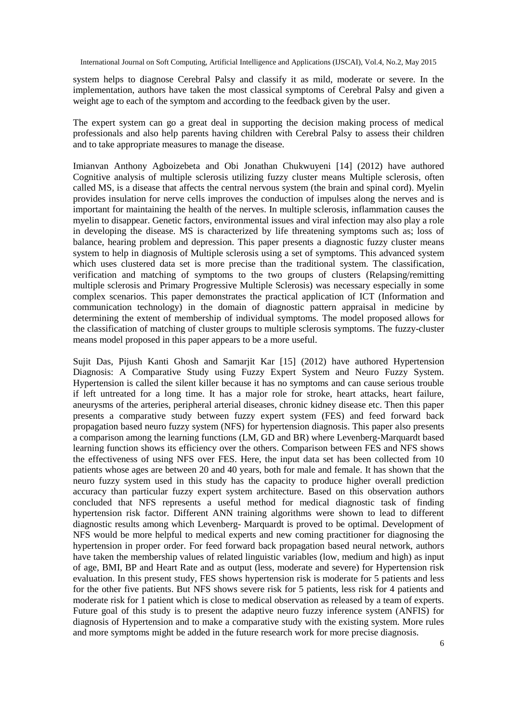system helps to diagnose Cerebral Palsy and classify it as mild, moderate or severe. In the implementation, authors have taken the most classical symptoms of Cerebral Palsy and given a weight age to each of the symptom and according to the feedback given by the user.

The expert system can go a great deal in supporting the decision making process of medical professionals and also help parents having children with Cerebral Palsy to assess their children and to take appropriate measures to manage the disease.

Imianvan Anthony Agboizebeta and Obi Jonathan Chukwuyeni [14] (2012) have authored Cognitive analysis of multiple sclerosis utilizing fuzzy cluster means Multiple sclerosis, often called MS, is a disease that affects the central nervous system (the brain and spinal cord). Myelin provides insulation for nerve cells improves the conduction of impulses along the nerves and is important for maintaining the health of the nerves. In multiple sclerosis, inflammation causes the myelin to disappear. Genetic factors, environmental issues and viral infection may also play a role in developing the disease. MS is characterized by life threatening symptoms such as; loss of balance, hearing problem and depression*.* This paper presents a diagnostic fuzzy cluster means system to help in diagnosis of Multiple sclerosis using a set of symptoms. This advanced system which uses clustered data set is more precise than the traditional system. The classification, verification and matching of symptoms to the two groups of clusters (Relapsing/remitting multiple sclerosis and Primary Progressive Multiple Sclerosis) was necessary especially in some complex scenarios. This paper demonstrates the practical application of ICT (Information and communication technology) in the domain of diagnostic pattern appraisal in medicine by determining the extent of membership of individual symptoms. The model proposed allows for the classification of matching of cluster groups to multiple sclerosis symptoms. The fuzzy-cluster means model proposed in this paper appears to be a more useful.

Sujit Das, Pijush Kanti Ghosh and Samarjit Kar [15] (2012) have authored Hypertension Diagnosis: A Comparative Study using Fuzzy Expert System and Neuro Fuzzy System. Hypertension is called the silent killer because it has no symptoms and can cause serious trouble if left untreated for a long time. It has a major role for stroke, heart attacks, heart failure, aneurysms of the arteries, peripheral arterial diseases, chronic kidney disease etc. Then this paper presents a comparative study between fuzzy expert system (FES) and feed forward back propagation based neuro fuzzy system (NFS) for hypertension diagnosis. This paper also presents a comparison among the learning functions (LM, GD and BR) where Levenberg-Marquardt based learning function shows its efficiency over the others. Comparison between FES and NFS shows the effectiveness of using NFS over FES. Here, the input data set has been collected from 10 patients whose ages are between 20 and 40 years, both for male and female. It has shown that the neuro fuzzy system used in this study has the capacity to produce higher overall prediction accuracy than particular fuzzy expert system architecture. Based on this observation authors concluded that NFS represents a useful method for medical diagnostic task of finding hypertension risk factor. Different ANN training algorithms were shown to lead to different diagnostic results among which Levenberg- Marquardt is proved to be optimal. Development of NFS would be more helpful to medical experts and new coming practitioner for diagnosing the hypertension in proper order. For feed forward back propagation based neural network, authors have taken the membership values of related linguistic variables (low, medium and high) as input of age, BMI, BP and Heart Rate and as output (less, moderate and severe) for Hypertension risk evaluation. In this present study, FES shows hypertension risk is moderate for 5 patients and less for the other five patients. But NFS shows severe risk for 5 patients, less risk for 4 patients and moderate risk for 1 patient which is close to medical observation as released by a team of experts. Future goal of this study is to present the adaptive neuro fuzzy inference system (ANFIS) for diagnosis of Hypertension and to make a comparative study with the existing system. More rules and more symptoms might be added in the future research work for more precise diagnosis.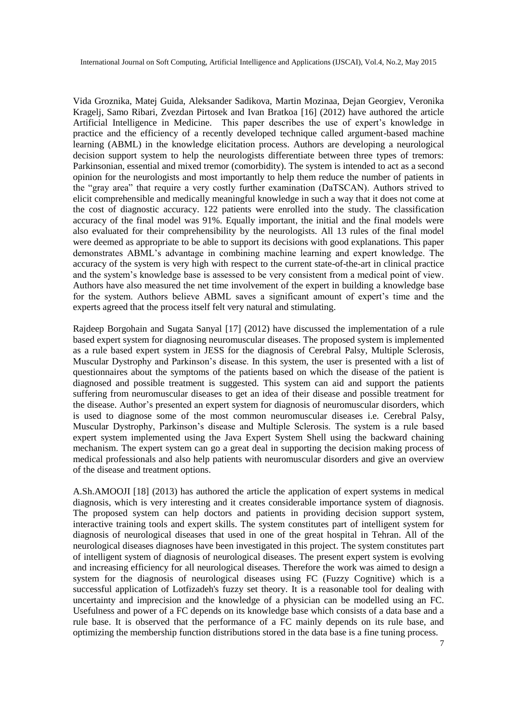Vida Groznika, Matej Guida, Aleksander Sadikova, Martin Mozinaa, Dejan Georgiev, Veronika Kragelj, Samo Ribari, Zvezdan Pirtosek and Ivan Bratkoa [16] (2012) have authored the article Artificial Intelligence in Medicine. This paper describes the use of expert's knowledge in practice and the efficiency of a recently developed technique called argument-based machine learning (ABML) in the knowledge elicitation process. Authors are developing a neurological decision support system to help the neurologists differentiate between three types of tremors: Parkinsonian, essential and mixed tremor (comorbidity). The system is intended to act as a second opinion for the neurologists and most importantly to help them reduce the number of patients in the "gray area" that require a very costly further examination (DaTSCAN). Authors strived to elicit comprehensible and medically meaningful knowledge in such a way that it does not come at the cost of diagnostic accuracy. 122 patients were enrolled into the study. The classification accuracy of the final model was 91%. Equally important, the initial and the final models were also evaluated for their comprehensibility by the neurologists. All 13 rules of the final model were deemed as appropriate to be able to support its decisions with good explanations. This paper demonstrates ABML's advantage in combining machine learning and expert knowledge. The accuracy of the system is very high with respect to the current state-of-the-art in clinical practice and the system's knowledge base is assessed to be very consistent from a medical point of view. Authors have also measured the net time involvement of the expert in building a knowledge base for the system. Authors believe ABML saves a significant amount of expert's time and the experts agreed that the process itself felt very natural and stimulating.

Rajdeep Borgohain and Sugata Sanyal [17] (2012) have discussed the implementation of a rule based expert system for diagnosing neuromuscular diseases. The proposed system is implemented as a rule based expert system in JESS for the diagnosis of Cerebral Palsy, Multiple Sclerosis, Muscular Dystrophy and Parkinson's disease. In this system, the user is presented with a list of questionnaires about the symptoms of the patients based on which the disease of the patient is diagnosed and possible treatment is suggested. This system can aid and support the patients suffering from neuromuscular diseases to get an idea of their disease and possible treatment for the disease. Author's presented an expert system for diagnosis of neuromuscular disorders*,* which is used to diagnose some of the most common neuromuscular diseases i.e. Cerebral Palsy, Muscular Dystrophy, Parkinson's disease and Multiple Sclerosis. The system is a rule based expert system implemented using the Java Expert System Shell using the backward chaining mechanism. The expert system can go a great deal in supporting the decision making process of medical professionals and also help patients with neuromuscular disorders and give an overview of the disease and treatment options.

A.Sh.AMOOJI [18] (2013) has authored the article the application of expert systems in medical diagnosis, which is very interesting and it creates considerable importance system of diagnosis. The proposed system can help doctors and patients in providing decision support system, interactive training tools and expert skills. The system constitutes part of intelligent system for diagnosis of neurological diseases that used in one of the great hospital in Tehran. All of the neurological diseases diagnoses have been investigated in this project. The system constitutes part of intelligent system of diagnosis of neurological diseases. The present expert system is evolving and increasing efficiency for all neurological diseases. Therefore the work was aimed to design a system for the diagnosis of neurological diseases using FC (Fuzzy Cognitive) which is a successful application of Lotfizadeh's fuzzy set theory. It is a reasonable tool for dealing with uncertainty and imprecision and the knowledge of a physician can be modelled using an FC. Usefulness and power of a FC depends on its knowledge base which consists of a data base and a rule base. It is observed that the performance of a FC mainly depends on its rule base, and optimizing the membership function distributions stored in the data base is a fine tuning process.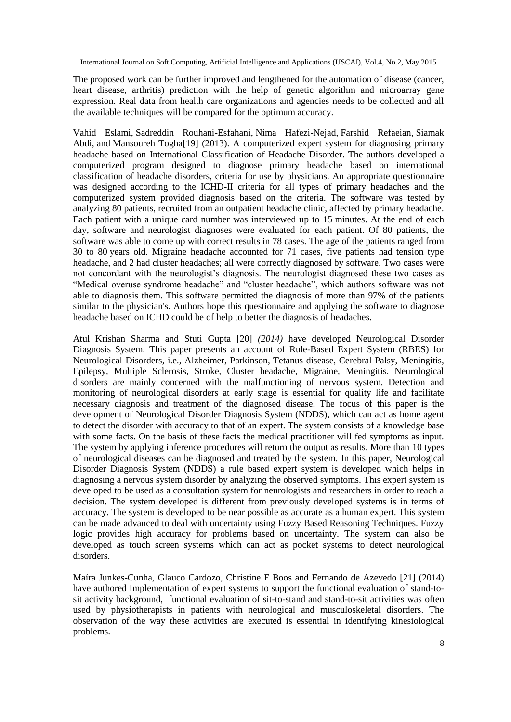The proposed work can be further improved and lengthened for the automation of disease (cancer, heart disease, arthritis) prediction with the help of genetic algorithm and microarray gene expression. Real data from health care organizations and agencies needs to be collected and all the available techniques will be compared for the optimum accuracy.

[Vahid Eslami,](http://www.ncbi.nlm.nih.gov/pubmed/?term=Eslami%20V%5Bauth%5D) [Sadreddin Rouhani-Esfahani,](http://www.ncbi.nlm.nih.gov/pubmed/?term=Rouhani-Esfahani%20S%5Bauth%5D) [Nima Hafezi-Nejad,](http://www.ncbi.nlm.nih.gov/pubmed/?term=Hafezi-Nejad%20N%5Bauth%5D) [Farshid Refaeian,](http://www.ncbi.nlm.nih.gov/pubmed/?term=Refaeian%20F%5Bauth%5D) [Siamak](http://www.ncbi.nlm.nih.gov/pubmed/?term=Abdi%20S%5Bauth%5D)  [Abdi,](http://www.ncbi.nlm.nih.gov/pubmed/?term=Abdi%20S%5Bauth%5D) and Mansoureh Togha<sup>[19]</sup> (2013). A computerized expert system for diagnosing primary headache based on International Classification of Headache Disorder. The authors developed a computerized program designed to diagnose primary headache based on international classification of headache disorders, criteria for use by physicians. An appropriate questionnaire was designed according to the ICHD-II criteria for all types of primary headaches and the computerized system provided diagnosis based on the criteria. The software was tested by analyzing 80 patients, recruited from an outpatient headache clinic, affected by primary headache. Each patient with a unique card number was interviewed up to 15 minutes. At the end of each day, software and neurologist diagnoses were evaluated for each patient. Of 80 patients, the software was able to come up with correct results in 78 cases. The age of the patients ranged from 30 to 80 years old. Migraine headache accounted for 71 cases, five patients had tension type headache, and 2 had cluster headaches; all were correctly diagnosed by software. Two cases were not concordant with the neurologist's diagnosis. The neurologist diagnosed these two cases as "Medical overuse syndrome headache" and "cluster headache", which authors software was not able to diagnosis them. This software permitted the diagnosis of more than 97% of the patients similar to the physician's. Authors hope this questionnaire and applying the software to diagnose headache based on ICHD could be of help to better the diagnosis of headaches.

Atul Krishan Sharma and Stuti Gupta [20] *(2014)* have developed Neurological Disorder Diagnosis System. This paper presents an account of Rule-Based Expert System (RBES) for Neurological Disorders, i.e., Alzheimer, Parkinson, Tetanus disease, Cerebral Palsy, Meningitis, Epilepsy, Multiple Sclerosis, Stroke, Cluster headache, Migraine, Meningitis. Neurological disorders are mainly concerned with the malfunctioning of nervous system. Detection and monitoring of neurological disorders at early stage is essential for quality life and facilitate necessary diagnosis and treatment of the diagnosed disease. The focus of this paper is the development of Neurological Disorder Diagnosis System (NDDS), which can act as home agent to detect the disorder with accuracy to that of an expert. The system consists of a knowledge base with some facts. On the basis of these facts the medical practitioner will fed symptoms as input. The system by applying inference procedures will return the output as results. More than 10 types of neurological diseases can be diagnosed and treated by the system. In this paper, Neurological Disorder Diagnosis System (NDDS) a rule based expert system is developed which helps in diagnosing a nervous system disorder by analyzing the observed symptoms. This expert system is developed to be used as a consultation system for neurologists and researchers in order to reach a decision. The system developed is different from previously developed systems is in terms of accuracy. The system is developed to be near possible as accurate as a human expert. This system can be made advanced to deal with uncertainty using Fuzzy Based Reasoning Techniques. Fuzzy logic provides high accuracy for problems based on uncertainty. The system can also be developed as touch screen systems which can act as pocket systems to detect neurological disorders.

Maíra Junkes-Cunha, Glauco Cardozo, Christine F Boos and Fernando de Azevedo [21] (2014) have authored Implementation of expert systems to support the functional evaluation of stand-tosit activity background, functional evaluation of sit-to-stand and stand-to-sit activities was often used by physiotherapists in patients with neurological and musculoskeletal disorders. The observation of the way these activities are executed is essential in identifying kinesiological problems.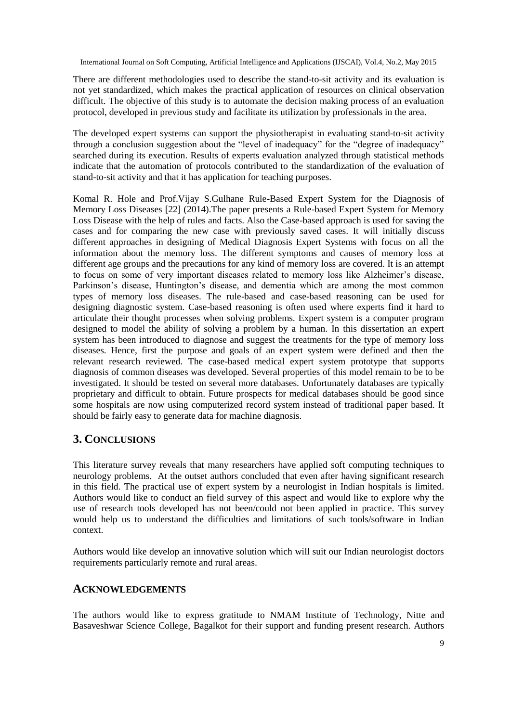There are different methodologies used to describe the stand-to-sit activity and its evaluation is not yet standardized, which makes the practical application of resources on clinical observation difficult. The objective of this study is to automate the decision making process of an evaluation protocol, developed in previous study and facilitate its utilization by professionals in the area.

The developed expert systems can support the physiotherapist in evaluating stand-to-sit activity through a conclusion suggestion about the "level of inadequacy" for the "degree of inadequacy" searched during its execution. Results of experts evaluation analyzed through statistical methods indicate that the automation of protocols contributed to the standardization of the evaluation of stand-to-sit activity and that it has application for teaching purposes.

Komal R. Hole and Prof.Vijay S.Gulhane Rule-Based Expert System for the Diagnosis of Memory Loss Diseases [22] (2014).The paper presents a Rule-based Expert System for Memory Loss Disease with the help of rules and facts. Also the Case-based approach is used for saving the cases and for comparing the new case with previously saved cases. It will initially discuss different approaches in designing of Medical Diagnosis Expert Systems with focus on all the information about the memory loss. The different symptoms and causes of memory loss at different age groups and the precautions for any kind of memory loss are covered. It is an attempt to focus on some of very important diseases related to memory loss like Alzheimer's disease, Parkinson's disease, Huntington's disease, and dementia which are among the most common types of memory loss diseases. The rule-based and case-based reasoning can be used for designing diagnostic system. Case-based reasoning is often used where experts find it hard to articulate their thought processes when solving problems. Expert system is a computer program designed to model the ability of solving a problem by a human. In this dissertation an expert system has been introduced to diagnose and suggest the treatments for the type of memory loss diseases. Hence, first the purpose and goals of an expert system were defined and then the relevant research reviewed. The case-based medical expert system prototype that supports diagnosis of common diseases was developed. Several properties of this model remain to be to be investigated. It should be tested on several more databases. Unfortunately databases are typically proprietary and difficult to obtain. Future prospects for medical databases should be good since some hospitals are now using computerized record system instead of traditional paper based. It should be fairly easy to generate data for machine diagnosis.

# **3. CONCLUSIONS**

This literature survey reveals that many researchers have applied soft computing techniques to neurology problems. At the outset authors concluded that even after having significant research in this field. The practical use of expert system by a neurologist in Indian hospitals is limited. Authors would like to conduct an field survey of this aspect and would like to explore why the use of research tools developed has not been/could not been applied in practice. This survey would help us to understand the difficulties and limitations of such tools/software in Indian context.

Authors would like develop an innovative solution which will suit our Indian neurologist doctors requirements particularly remote and rural areas.

## **ACKNOWLEDGEMENTS**

The authors would like to express gratitude to NMAM Institute of Technology, Nitte and Basaveshwar Science College, Bagalkot for their support and funding present research. Authors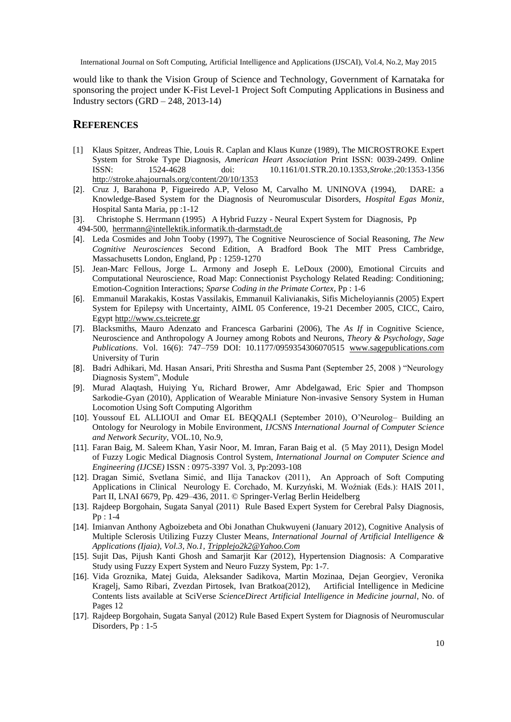would like to thank the Vision Group of Science and Technology, Government of Karnataka for sponsoring the project under K-Fist Level-1 Project Soft Computing Applications in Business and Industry sectors  $(GRD - 248, 2013-14)$ 

#### **REFERENCES**

- [1] Klaus Spitzer, Andreas Thie, Louis R. Caplan and Klaus Kunze (1989), The MICROSTROKE Expert System for Stroke Type Diagnosis, *American Heart Association* Print ISSN: 0039-2499. Online ISSN: 1524-4628 doi: 10.1161/01.STR.20.10.1353,*Stroke.*;20:1353-1356 <http://stroke.ahajournals.org/content/20/10/1353>
- [2]. Cruz J, Barahona P, Figueiredo A.P, Veloso M, Carvalho M. UNINOVA (1994), DARE: a Knowledge-Based System for the Diagnosis of Neuromuscular Disorders, *Hospital Egas Moniz*, Hospital Santa Maria, pp :1-12
- [3]. Christophe S. Herrmann (1995) A Hybrid Fuzzy Neural Expert System for Diagnosis, Pp 494-500, [herrmann@intellektik.informatik.th-darmstadt.de](mailto:herrmann@intellektik.informatik.th-darmstadt.de)
- [4]. Leda Cosmides and John Tooby (1997), The Cognitive Neuroscience of Social Reasoning, *The New Cognitive Neurosciences* Second Edition, A Bradford Book The MIT Press Cambridge, Massachusetts London, England, Pp : 1259-1270
- [5]. Jean-Marc Fellous, Jorge L. Armony and Joseph E. LeDoux (2000), Emotional Circuits and Computational Neuroscience, Road Map: Connectionist Psychology Related Reading: Conditioning; Emotion-Cognition Interactions; *Sparse Coding in the Primate Cortex*, Pp : 1-6
- [6]. Emmanuil Marakakis, Kostas Vassilakis, Emmanuil Kalivianakis, Sifis Micheloyiannis (2005) Expert System for Epilepsy with Uncertainty, AIML 05 Conference, 19-21 December 2005, CICC, Cairo, Egypt [http://www.cs.teicrete.gr](http://www.cs.teicrete.gr/)
- [7]. Blacksmiths, Mauro Adenzato and Francesca Garbarini (2006), The *As If* in Cognitive Science, Neuroscience and Anthropology A Journey among Robots and Neurons, *Theory & Psychology, Sage Publications*. Vol. 16(6): 747–759 DOI: 10.1177/0959354306070515 [www.sagepublications.com](http://www.sagepublications.com/) University of Turin
- [8]. Badri Adhikari, Md. Hasan Ansari, Priti Shrestha and Susma Pant (September 25, 2008 ) "Neurology Diagnosis System", Module
- [9]. Murad Alaqtash, Huiying Yu, Richard Brower, Amr Abdelgawad, Eric Spier and Thompson Sarkodie-Gyan (2010), Application of Wearable Miniature Non-invasive Sensory System in Human Locomotion Using Soft Computing Algorithm
- [10]. Youssouf EL ALLIOUI and Omar EL BEQQALI (September 2010), O'Neurolog– Building an Ontology for Neurology in Mobile Environment, *IJCSNS International Journal of Computer Science and Network Security*, VOL.10, No.9,
- [11]. Faran Baig, M. Saleem Khan, Yasir Noor, M. Imran, Faran Baig et al. (5 May 2011), Design Model of Fuzzy Logic Medical Diagnosis Control System, *International Journal on Computer Science and Engineering (IJCSE)* ISSN : 0975-3397 Vol. 3, Pp:2093-108
- [12]. Dragan Simić, Svetlana Simić, and Ilija Tanackov (2011), An Approach of Soft Computing Applications in Clinical Neurology E. Corchado, M. Kurzyński, M. Woźniak (Eds.): HAIS 2011, Part II, LNAI 6679, Pp. 429–436, 2011. © Springer-Verlag Berlin Heidelberg
- [13]. Rajdeep Borgohain, Sugata Sanyal (2011) Rule Based Expert System for Cerebral Palsy Diagnosis, Pp : 1-4
- [14]. Imianvan Anthony Agboizebeta and Obi Jonathan Chukwuyeni (January 2012), Cognitive Analysis of Multiple Sclerosis Utilizing Fuzzy Cluster Means, *International Journal of Artificial Intelligence & Applications (Ijaia), Vol.3, No.1[, Tripplejo2k2@Yahoo.Com](mailto:tripplejo2k2@yahoo.com)*
- [15]. Sujit Das, Pijush Kanti Ghosh and Samarjit Kar (2012), Hypertension Diagnosis: A Comparative Study using Fuzzy Expert System and Neuro Fuzzy System, Pp: 1-7.
- [16]. Vida Groznika, Matej Guida, Aleksander Sadikova, Martin Mozinaa, Dejan Georgiev, Veronika Kragelj, Samo Ribari, Zvezdan Pirtosek, Ivan Bratkoa(2012), Artificial Intelligence in Medicine Contents lists available at SciVerse *ScienceDirect Artificial Intelligence in Medicine journal*, No. of Pages 12
- [17]. Rajdeep Borgohain, Sugata Sanyal (2012) Rule Based Expert System for Diagnosis of Neuromuscular Disorders, Pp : 1-5